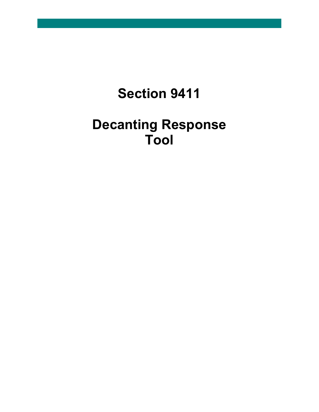# **Section 9411**

# **Decanting Response Tool**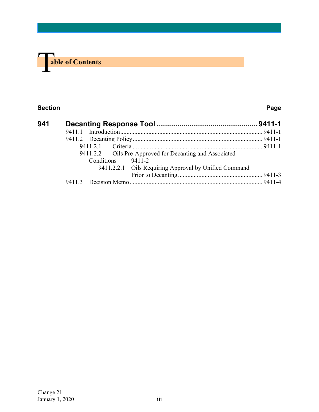

# **Section Page**

| 941 |                                                         |  |
|-----|---------------------------------------------------------|--|
|     |                                                         |  |
|     |                                                         |  |
|     |                                                         |  |
|     | 9411.2.2 Oils Pre-Approved for Decanting and Associated |  |
|     | Conditions 9411-2                                       |  |
|     | 9411.2.2.1 Oils Requiring Approval by Unified Command   |  |
|     |                                                         |  |
|     |                                                         |  |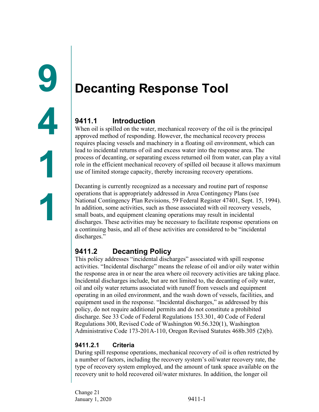# <span id="page-2-1"></span><span id="page-2-0"></span>**Decanting Response Tool**

# <span id="page-2-2"></span>**9411.1 Introduction**

When oil is spilled on the water, mechanical recovery of the oil is the principal approved method of responding. However, the mechanical recovery process requires placing vessels and machinery in a floating oil environment, which can lead to incidental returns of oil and excess water into the response area. The process of decanting, or separating excess returned oil from water, can play a vital role in the efficient mechanical recovery of spilled oil because it allows maximum use of limited storage capacity, thereby increasing recovery operations.

Decanting is currently recognized as a necessary and routine part of response operations that is appropriately addressed in Area Contingency Plans (see National Contingency Plan Revisions, 59 Federal Register 47401, Sept. 15, 1994). In addition, some activities, such as those associated with oil recovery vessels, small boats, and equipment cleaning operations may result in incidental discharges. These activities may be necessary to facilitate response operations on a continuing basis, and all of these activities are considered to be "incidental discharges."

# <span id="page-2-3"></span>**9411.2 Decanting Policy**

This policy addresses "incidental discharges" associated with spill response activities. "Incidental discharge" means the release of oil and/or oily water within the response area in or near the area where oil recovery activities are taking place. Incidental discharges include, but are not limited to, the decanting of oily water, oil and oily water returns associated with runoff from vessels and equipment operating in an oiled environment, and the wash down of vessels, facilities, and equipment used in the response. "Incidental discharges," as addressed by this policy, do not require additional permits and do not constitute a prohibited discharge. See 33 Code of Federal Regulations 153.301, 40 Code of Federal Regulations 300, Revised Code of Washington 90.56.320(1), Washington Administrative Code 173-201A-110, Oregon Revised Statutes 468b.305 (2)(b).

# <span id="page-2-4"></span>**9411.2.1 Criteria**

During spill response operations, mechanical recovery of oil is often restricted by a number of factors, including the recovery system's oil/water recovery rate, the type of recovery system employed, and the amount of tank space available on the recovery unit to hold recovered oil/water mixtures. In addition, the longer oil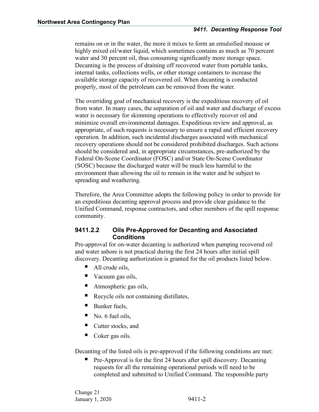remains on or in the water, the more it mixes to form an emulsified mousse or highly mixed oil/water liquid, which sometimes contains as much as 70 percent water and 30 percent oil, thus consuming significantly more storage space. Decanting is the process of draining off recovered water from portable tanks, internal tanks, collections wells, or other storage containers to increase the available storage capacity of recovered oil. When decanting is conducted properly, most of the petroleum can be removed from the water.

The overriding goal of mechanical recovery is the expeditious recovery of oil from water. In many cases, the separation of oil and water and discharge of excess water is necessary for skimming operations to effectively recover oil and minimize overall environmental damages. Expeditious review and approval, as appropriate, of such requests is necessary to ensure a rapid and efficient recovery operation. In addition, such incidental discharges associated with mechanical recovery operations should not be considered prohibited discharges. Such actions should be considered and, in appropriate circumstances, pre-authorized by the Federal On-Scene Coordinator (FOSC) and/or State On-Scene Coordinator (SOSC) because the discharged water will be much less harmful to the environment than allowing the oil to remain in the water and be subject to spreading and weathering.

Therefore, the Area Committee adopts the following policy in order to provide for an expeditious decanting approval process and provide clear guidance to the Unified Command, response contractors, and other members of the spill response community.

## <span id="page-3-0"></span>**9411.2.2 Oils Pre-Approved for Decanting and Associated Conditions**

Pre-approval for on-water decanting is authorized when pumping recovered oil and water ashore is not practical during the first 24 hours after initial spill discovery. Decanting authorization is granted for the oil products listed below.

- All crude oils,
- Vacuum gas oils,
- Atmospheric gas oils,
- Recycle oils not containing distillates,
- Bunker fuels,
- No. 6 fuel oils,
- Cutter stocks, and
- Coker gas oils.

Decanting of the listed oils is pre-approved if the following conditions are met:

 Pre-Approval is for the first 24 hours after spill discovery. Decanting requests for all the remaining operational periods will need to be completed and submitted to Unified Command. The responsible party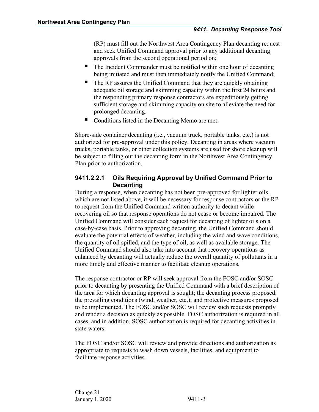(RP) must fill out the Northwest Area Contingency Plan decanting request and seek Unified Command approval prior to any additional decanting approvals from the second operational period on;

- The Incident Commander must be notified within one hour of decanting being initiated and must then immediately notify the Unified Command;
- The RP assures the Unified Command that they are quickly obtaining adequate oil storage and skimming capacity within the first 24 hours and the responding primary response contractors are expeditiously getting sufficient storage and skimming capacity on site to alleviate the need for prolonged decanting.
- Conditions listed in the Decanting Memo are met.

Shore-side container decanting (i.e., vacuum truck, portable tanks, etc.) is not authorized for pre-approval under this policy. Decanting in areas where vacuum trucks, portable tanks, or other collection systems are used for shore cleanup will be subject to filling out the decanting form in the Northwest Area Contingency Plan prior to authorization.

# <span id="page-4-0"></span>**9411.2.2.1 Oils Requiring Approval by Unified Command Prior to Decanting**

During a response, when decanting has not been pre-approved for lighter oils, which are not listed above, it will be necessary for response contractors or the RP to request from the Unified Command written authority to decant while recovering oil so that response operations do not cease or become impaired. The Unified Command will consider each request for decanting of lighter oils on a case-by-case basis. Prior to approving decanting, the Unified Command should evaluate the potential effects of weather, including the wind and wave conditions, the quantity of oil spilled, and the type of oil, as well as available storage. The Unified Command should also take into account that recovery operations as enhanced by decanting will actually reduce the overall quantity of pollutants in a more timely and effective manner to facilitate cleanup operations.

The response contractor or RP will seek approval from the FOSC and/or SOSC prior to decanting by presenting the Unified Command with a brief description of the area for which decanting approval is sought; the decanting process proposed; the prevailing conditions (wind, weather, etc.); and protective measures proposed to be implemented. The FOSC and/or SOSC will review such requests promptly and render a decision as quickly as possible. FOSC authorization is required in all cases, and in addition, SOSC authorization is required for decanting activities in state waters.

The FOSC and/or SOSC will review and provide directions and authorization as appropriate to requests to wash down vessels, facilities, and equipment to facilitate response activities.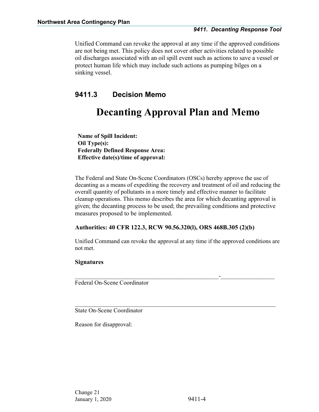Unified Command can revoke the approval at any time if the approved conditions are not being met. This policy does not cover other activities related to possible oil discharges associated with an oil spill event such as actions to save a vessel or protect human life which may include such actions as pumping bilges on a sinking vessel.

# <span id="page-5-0"></span>**9411.3 Decision Memo**

# **Decanting Approval Plan and Memo**

**Name of Spill Incident: Oil Type(s): Federally Defined Response Area: Effective date(s)/time of approval:** 

The Federal and State On-Scene Coordinators (OSCs) hereby approve the use of decanting as a means of expediting the recovery and treatment of oil and reducing the overall quantity of pollutants in a more timely and effective manner to facilitate cleanup operations. This memo describes the area for which decanting approval is given; the decanting process to be used; the prevailing conditions and protective measures proposed to be implemented.

### **Authorities: 40 CFR 122.3, RCW 90.56.320(l), ORS 468B.305 (2)(b)**

Unified Command can revoke the approval at any time if the approved conditions are not met.

 $\mathcal{L}_\text{max}$  , and the contribution of the contribution of the contribution of the contribution of the contribution of the contribution of the contribution of the contribution of the contribution of the contribution of t

 $\mathcal{L}_\text{max}$  and  $\mathcal{L}_\text{max}$  and  $\mathcal{L}_\text{max}$  and  $\mathcal{L}_\text{max}$  and  $\mathcal{L}_\text{max}$  and  $\mathcal{L}_\text{max}$ 

### **Signatures**

Federal On-Scene Coordinator

State On-Scene Coordinator

Reason for disapproval: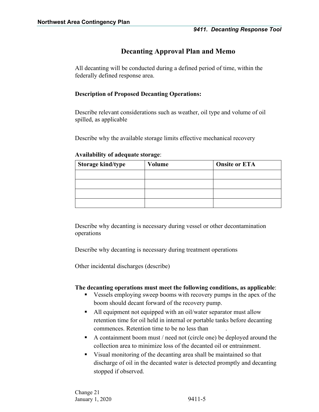# **Decanting Approval Plan and Memo**

All decanting will be conducted during a defined period of time, within the federally defined response area.

## **Description of Proposed Decanting Operations:**

Describe relevant considerations such as weather, oil type and volume of oil spilled, as applicable

Describe why the available storage limits effective mechanical recovery

| <b>Storage kind/type</b> | Volume | <b>Onsite or ETA</b> |
|--------------------------|--------|----------------------|
|                          |        |                      |
|                          |        |                      |
|                          |        |                      |
|                          |        |                      |

#### **Availability of adequate storage**:

Describe why decanting is necessary during vessel or other decontamination operations

Describe why decanting is necessary during treatment operations

Other incidental discharges (describe)

### **The decanting operations must meet the following conditions, as applicable**:

- Vessels employing sweep booms with recovery pumps in the apex of the boom should decant forward of the recovery pump.
- All equipment not equipped with an oil/water separator must allow retention time for oil held in internal or portable tanks before decanting commences. Retention time to be no less than .
- A containment boom must / need not (circle one) be deployed around the collection area to minimize loss of the decanted oil or entrainment.
- Visual monitoring of the decanting area shall be maintained so that discharge of oil in the decanted water is detected promptly and decanting stopped if observed.